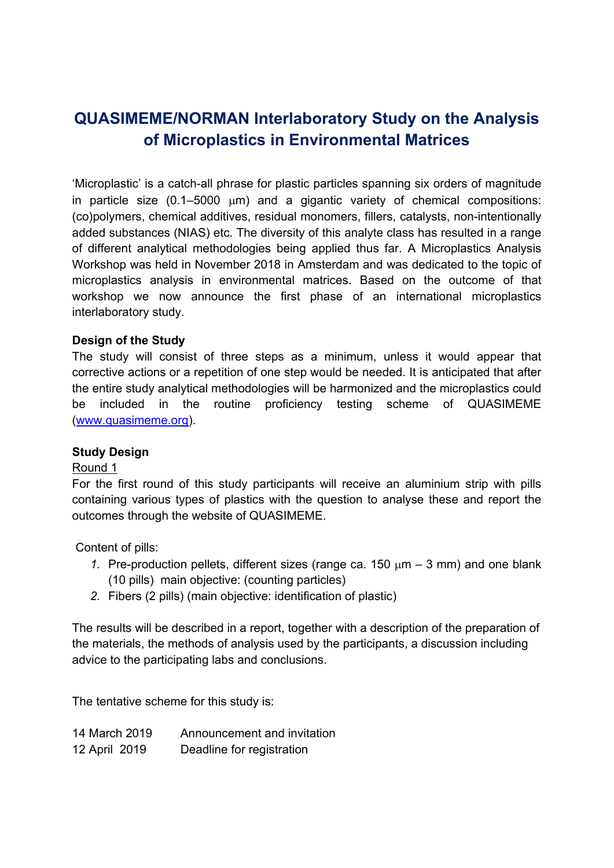# **QUASIMEME/NORMAN Interlaboratory Study on the Analysis of Microplastics in Environmental Matrices**

'Microplastic' is a catch-all phrase for plastic particles spanning six orders of magnitude in particle size  $(0.1-5000 \mu m)$  and a gigantic variety of chemical compositions: (co)polymers, chemical additives, residual monomers, fillers, catalysts, non-intentionally added substances (NIAS) etc. The diversity of this analyte class has resulted in a range of different analytical methodologies being applied thus far. A Microplastics Analysis Workshop was held in November 2018 in Amsterdam and was dedicated to the topic of microplastics analysis in environmental matrices. Based on the outcome of that workshop we now announce the first phase of an international microplastics interlaboratory study.

## **Design of the Study**

The study will consist of three steps as a minimum, unless it would appear that corrective actions or a repetition of one step would be needed. It is anticipated that after the entire study analytical methodologies will be harmonized and the microplastics could be included in the routine proficiency testing scheme of QUASIMEME (www.quasimeme.org).

## **Study Design**

## Round 1

For the first round of this study participants will receive an aluminium strip with pills containing various types of plastics with the question to analyse these and report the outcomes through the website of QUASIMEME.

Content of pills:

- 1. Pre-production pellets, different sizes (range ca.  $150 \mu m 3 \mu m$ ) and one blank (10 pills) main objective: (counting particles)
- *2.* Fibers (2 pills) (main objective: identification of plastic)

The results will be described in a report, together with a description of the preparation of the materials, the methods of analysis used by the participants, a discussion including advice to the participating labs and conclusions.

The tentative scheme for this study is:

| 14 March 2019 | Announcement and invitation |
|---------------|-----------------------------|
| 12 April 2019 | Deadline for registration   |